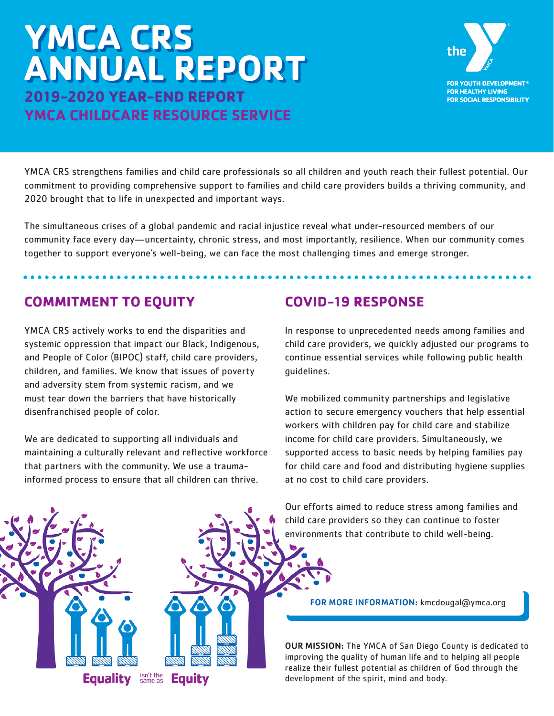# **YMCA CRS YMCA CRS ANNUAL REPORT ANNUAL REPORT2019-2020 YEAR-END REPORT YMCA CHILDCARE RESOURCE SERVICE**



YMCA CRS strengthens families and child care professionals so all children and youth reach their fullest potential. Our commitment to providing comprehensive support to families and child care providers builds a thriving community, and 2020 brought that to life in unexpected and important ways.

The simultaneous crises of a global pandemic and racial injustice reveal what under-resourced members of our community face every day—uncertainty, chronic stress, and most importantly, resilience. When our community comes together to support everyone's well-being, we can face the most challenging times and emerge stronger.

# **COMMITMENT TO EQUITY**

YMCA CRS actively works to end the disparities and systemic oppression that impact our Black, Indigenous, and People of Color (BIPOC) staff, child care providers, children, and families. We know that issues of poverty and adversity stem from systemic racism, and we must tear down the barriers that have historically disenfranchised people of color.

We are dedicated to supporting all individuals and maintaining a culturally relevant and reflective workforce that partners with the community. We use a traumainformed process to ensure that all children can thrive.

isn't the<br>same as

**Equity** 

**Equality** 

# **COVID-19 RESPONSE**

In response to unprecedented needs among families and child care providers, we quickly adjusted our programs to continue essential services while following public health guidelines.

We mobilized community partnerships and legislative action to secure emergency vouchers that help essential workers with children pay for child care and stabilize income for child care providers. Simultaneously, we supported access to basic needs by helping families pay for child care and food and distributing hygiene supplies at no cost to child care providers.

Our efforts aimed to reduce stress among families and child care providers so they can continue to foster environments that contribute to child well-being.



OUR MISSION: The YMCA of San Diego County is dedicated to improving the quality of human life and to helping all people realize their fullest potential as children of God through the development of the spirit, mind and body.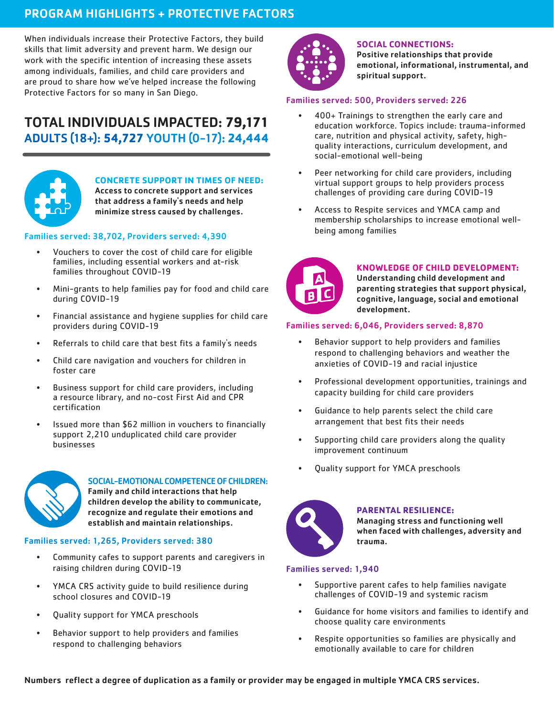# PROGRAM HIGHLIGHTS + PROTECTIVE FACTORS

When individuals increase their Protective Factors, they build skills that limit adversity and prevent harm. We design our work with the specific intention of increasing these assets among individuals, families, and child care providers and are proud to share how we've helped increase the following Protective Factors for so many in San Diego.

# TOTAL INDIVIDUALS IMPACTED: **79,171** ADULTS (18+): **54,727** YOUTH (0-17): **24,444**



### **CONCRETE SUPPORT IN TIMES OF NEED:**

Access to concrete support and services that address a family's needs and help minimize stress caused by challenges.

#### Families served: 38,702, Providers served: 4,390

- Vouchers to cover the cost of child care for eligible families, including essential workers and at-risk families throughout COVID-19
- Mini-grants to help families pay for food and child care during COVID-19
- Financial assistance and hygiene supplies for child care providers during COVID-19
- Referrals to child care that best fits a family's needs
- Child care navigation and vouchers for children in foster care
- Business support for child care providers, including a resource library, and no-cost First Aid and CPR certification
- Issued more than \$62 million in vouchers to financially support 2,210 unduplicated child care provider businesses



#### SOCIAL-EMOTIONAL COMPETENCE OF CHILDREN: Family and child interactions that help

children develop the ability to communicate, recognize and regulate their emotions and establish and maintain relationships.

#### Families served: 1,265, Providers served: 380

- Community cafes to support parents and caregivers in raising children during COVID-19
- YMCA CRS activity guide to build resilience during school closures and COVID-19
- Quality support for YMCA preschools
- Behavior support to help providers and families respond to challenging behaviors



#### **SOCIAL CONNECTIONS:**

Positive relationships that provide emotional, informational, instrumental, and spiritual support.

#### Families served: 500, Providers served: 226

- 400+ Trainings to strengthen the early care and education workforce. Topics include: trauma-informed care, nutrition and physical activity, safety, highquality interactions, curriculum development, and social-emotional well-being
- Peer networking for child care providers, including virtual support groups to help providers process challenges of providing care during COVID-19
- Access to Respite services and YMCA camp and membership scholarships to increase emotional wellbeing among families



#### **KNOWLEDGE OF CHILD DEVELOPMENT:**

Understanding child development and parenting strategies that support physical, cognitive, language, social and emotional development.

#### Families served: 6,046, Providers served: 8,870

- Behavior support to help providers and families respond to challenging behaviors and weather the anxieties of COVID-19 and racial injustice
- Professional development opportunities, trainings and capacity building for child care providers
- Guidance to help parents select the child care arrangement that best fits their needs
- Supporting child care providers along the quality improvement continuum
- Quality support for YMCA preschools



#### **PARENTAL RESILIENCE:**

Managing stress and functioning well when faced with challenges, adversity and trauma.

#### Families served: 1,940

- Supportive parent cafes to help families navigate challenges of COVID-19 and systemic racism
- Guidance for home visitors and families to identify and choose quality care environments
- Respite opportunities so families are physically and emotionally available to care for children